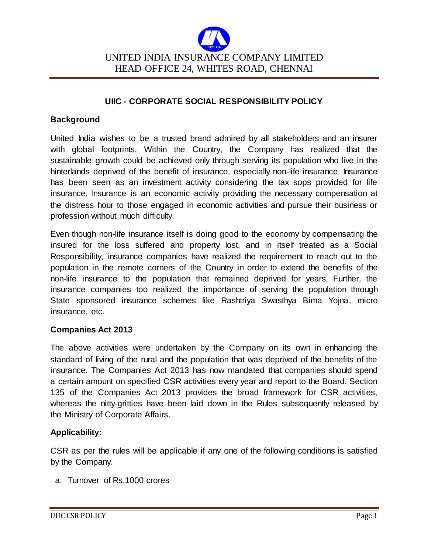

### **UIIC - CORPORATE SOCIAL RESPONSIBILITY POLICY**

#### **Background**

United India wishes to be a trusted brand admired by all stakeholders and an insurer with global footprints. Within the Country, the Company has realized that the sustainable growth could be achieved only through serving its population who live in the hinterlands deprived of the benefit of insurance, especially non-life insurance. Insurance has been seen as an investment activity considering the tax sops provided for life insurance. Insurance is an economic activity providing the necessary compensation at the distress hour to those engaged in economic activities and pursue their business or profession without much difficulty.

Even though non-life insurance itself is doing good to the economy by compensating the insured for the loss suffered and property lost, and in itself treated as a Social Responsibility, insurance companies have realized the requirement to reach out to the population in the remote corners of the Country in order to extend the benefits of the non-life insurance to the population that remained deprived for years. Further, the insurance companies too realized the importance of serving the population through State sponsored insurance schemes like Rashtriya Swasthya Bima Yojna, micro insurance, etc.

#### **Companies Act 2013**

The above activities were undertaken by the Company on its own in enhancing the standard of living of the rural and the population that was deprived of the benefits of the insurance. The Companies Act 2013 has now mandated that companies should spend a certain amount on specified CSR activities every year and report to the Board. Section 135 of the Companies Act 2013 provides the broad framework for CSR activities, whereas the nitty-gritties have been laid down in the Rules subsequently released by the Ministry of Corporate Affairs.

#### **Applicability:**

CSR as per the rules will be applicable if any one of the following conditions is satisfied by the Company.

a. Turnover of Rs.1000 crores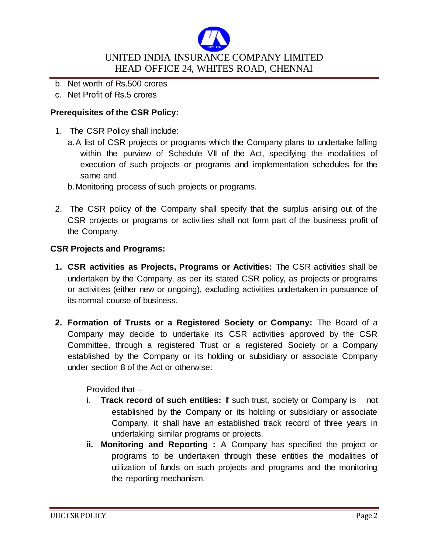

- b. Net worth of Rs.500 crores
- c. Net Profit of Rs.5 crores

### **Prerequisites of the CSR Policy:**

- 1. The CSR Policy shall include:
	- a.A list of CSR projects or programs which the Company plans to undertake falling within the purview of Schedule VII of the Act, specifying the modalities of execution of such projects or programs and implementation schedules for the same and
	- b.Monitoring process of such projects or programs.
- 2. The CSR policy of the Company shall specify that the surplus arising out of the CSR projects or programs or activities shall not form part of the business profit of the Company.

#### **CSR Projects and Programs:**

- **1. CSR activities as Projects, Programs or Activities:** The CSR activities shall be undertaken by the Company, as per its stated CSR policy, as projects or programs or activities (either new or ongoing), excluding activities undertaken in pursuance of its normal course of business.
- **2. Formation of Trusts or a Registered Society or Company:** The Board of a Company may decide to undertake its CSR activities approved by the CSR Committee, through a registered Trust or a registered Society or a Company established by the Company or its holding or subsidiary or associate Company under section 8 of the Act or otherwise:

Provided that –

- i. **Track record of such entities:** If such trust, society or Company is not established by the Company or its holding or subsidiary or associate Company, it shall have an established track record of three years in undertaking similar programs or projects.
- **ii. Monitoring and Reporting :** A Company has specified the project or programs to be undertaken through these entities the modalities of utilization of funds on such projects and programs and the monitoring the reporting mechanism.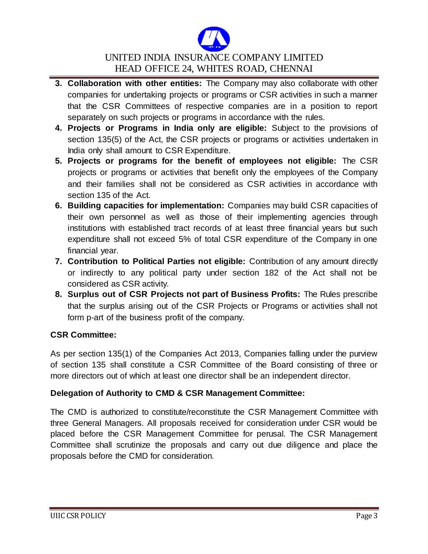

- **3. Collaboration with other entities:** The Company may also collaborate with other companies for undertaking projects or programs or CSR activities in such a manner that the CSR Committees of respective companies are in a position to report separately on such projects or programs in accordance with the rules.
- **4. Projects or Programs in India only are eligible:** Subject to the provisions of section 135(5) of the Act, the CSR projects or programs or activities undertaken in India only shall amount to CSR Expenditure.
- **5. Projects or programs for the benefit of employees not eligible:** The CSR projects or programs or activities that benefit only the employees of the Company and their families shall not be considered as CSR activities in accordance with section 135 of the Act.
- **6. Building capacities for implementation:** Companies may build CSR capacities of their own personnel as well as those of their implementing agencies through institutions with established tract records of at least three financial years but such expenditure shall not exceed 5% of total CSR expenditure of the Company in one financial year.
- **7. Contribution to Political Parties not eligible:** Contribution of any amount directly or indirectly to any political party under section 182 of the Act shall not be considered as CSR activity.
- **8. Surplus out of CSR Projects not part of Business Profits:** The Rules prescribe that the surplus arising out of the CSR Projects or Programs or activities shall not form p-art of the business profit of the company.

# **CSR Committee:**

As per section 135(1) of the Companies Act 2013, Companies falling under the purview of section 135 shall constitute a CSR Committee of the Board consisting of three or more directors out of which at least one director shall be an independent director.

# **Delegation of Authority to CMD & CSR Management Committee:**

The CMD is authorized to constitute/reconstitute the CSR Management Committee with three General Managers. All proposals received for consideration under CSR would be placed before the CSR Management Committee for perusal. The CSR Management Committee shall scrutinize the proposals and carry out due diligence and place the proposals before the CMD for consideration.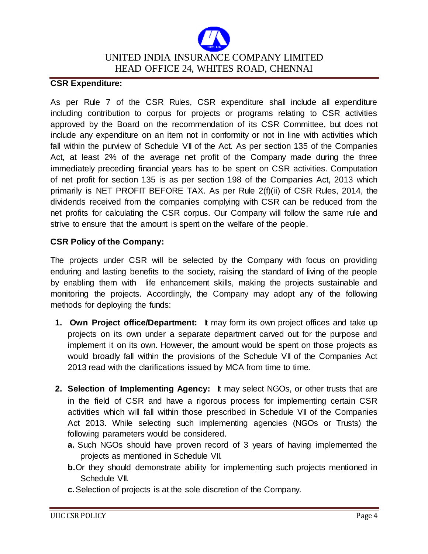

#### **CSR Expenditure:**

As per Rule 7 of the CSR Rules, CSR expenditure shall include all expenditure including contribution to corpus for projects or programs relating to CSR activities approved by the Board on the recommendation of its CSR Committee, but does not include any expenditure on an item not in conformity or not in line with activities which fall within the purview of Schedule VII of the Act. As per section 135 of the Companies Act, at least 2% of the average net profit of the Company made during the three immediately preceding financial years has to be spent on CSR activities. Computation of net profit for section 135 is as per section 198 of the Companies Act, 2013 which primarily is NET PROFIT BEFORE TAX. As per Rule 2(f)(ii) of CSR Rules, 2014, the dividends received from the companies complying with CSR can be reduced from the net profits for calculating the CSR corpus. Our Company will follow the same rule and strive to ensure that the amount is spent on the welfare of the people.

#### **CSR Policy of the Company:**

The projects under CSR will be selected by the Company with focus on providing enduring and lasting benefits to the society, raising the standard of living of the people by enabling them with life enhancement skills, making the projects sustainable and monitoring the projects. Accordingly, the Company may adopt any of the following methods for deploying the funds:

- **1. Own Project office/Department:** It may form its own project offices and take up projects on its own under a separate department carved out for the purpose and implement it on its own. However, the amount would be spent on those projects as would broadly fall within the provisions of the Schedule VII of the Companies Act 2013 read with the clarifications issued by MCA from time to time.
- **2. Selection of Implementing Agency:** It may select NGOs, or other trusts that are in the field of CSR and have a rigorous process for implementing certain CSR activities which will fall within those prescribed in Schedule VII of the Companies Act 2013. While selecting such implementing agencies (NGOs or Trusts) the following parameters would be considered.
	- **a.** Such NGOs should have proven record of 3 years of having implemented the projects as mentioned in Schedule VII.
	- **b.** Or they should demonstrate ability for implementing such projects mentioned in Schedule VII.
	- **c.**Selection of projects is at the sole discretion of the Company.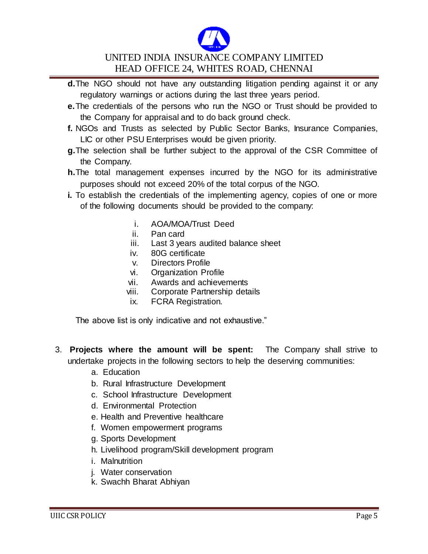

- **d.**The NGO should not have any outstanding litigation pending against it or any regulatory warnings or actions during the last three years period.
- **e.**The credentials of the persons who run the NGO or Trust should be provided to the Company for appraisal and to do back ground check.
- **f.** NGOs and Trusts as selected by Public Sector Banks, Insurance Companies, LIC or other PSU Enterprises would be given priority.
- **g.**The selection shall be further subject to the approval of the CSR Committee of the Company.
- **h.**The total management expenses incurred by the NGO for its administrative purposes should not exceed 20% of the total corpus of the NGO.
- **i.** To establish the credentials of the implementing agency, copies of one or more of the following documents should be provided to the company:
	- i. AOA/MOA/Trust Deed
	- ii. Pan card
	- iii. Last 3 years audited balance sheet
	- iv. 80G certificate
	- v. Directors Profile
	- vi. Organization Profile
	- vii. Awards and achievements
	- viii. Corporate Partnership details
	- ix. FCRA Registration.

The above list is only indicative and not exhaustive."

- 3. **Projects where the amount will be spent:** The Company shall strive to undertake projects in the following sectors to help the deserving communities:
	- a. Education
	- b. Rural Infrastructure Development
	- c. School Infrastructure Development
	- d. Environmental Protection
	- e. Health and Preventive healthcare
	- f. Women empowerment programs
	- g. Sports Development
	- h. Livelihood program/Skill development program
	- i. Malnutrition
	- j. Water conservation
	- k. Swachh Bharat Abhiyan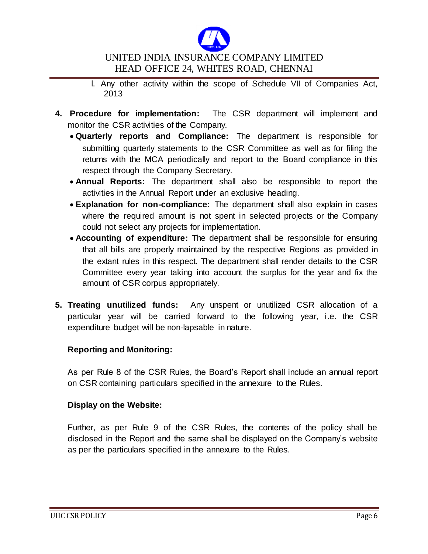

- l. Any other activity within the scope of Schedule VII of Companies Act, 2013
- **4. Procedure for implementation:** The CSR department will implement and monitor the CSR activities of the Company.
	- **Quarterly reports and Compliance:** The department is responsible for submitting quarterly statements to the CSR Committee as well as for filing the returns with the MCA periodically and report to the Board compliance in this respect through the Company Secretary.
	- **Annual Reports:** The department shall also be responsible to report the activities in the Annual Report under an exclusive heading.
	- **Explanation for non-compliance:** The department shall also explain in cases where the required amount is not spent in selected projects or the Company could not select any projects for implementation.
	- **Accounting of expenditure:** The department shall be responsible for ensuring that all bills are properly maintained by the respective Regions as provided in the extant rules in this respect. The department shall render details to the CSR Committee every year taking into account the surplus for the year and fix the amount of CSR corpus appropriately.
- **5. Treating unutilized funds:** Any unspent or unutilized CSR allocation of a particular year will be carried forward to the following year, i.e. the CSR expenditure budget will be non-lapsable in nature.

# **Reporting and Monitoring:**

As per Rule 8 of the CSR Rules, the Board's Report shall include an annual report on CSR containing particulars specified in the annexure to the Rules.

#### **Display on the Website:**

Further, as per Rule 9 of the CSR Rules, the contents of the policy shall be disclosed in the Report and the same shall be displayed on the Company's website as per the particulars specified in the annexure to the Rules.